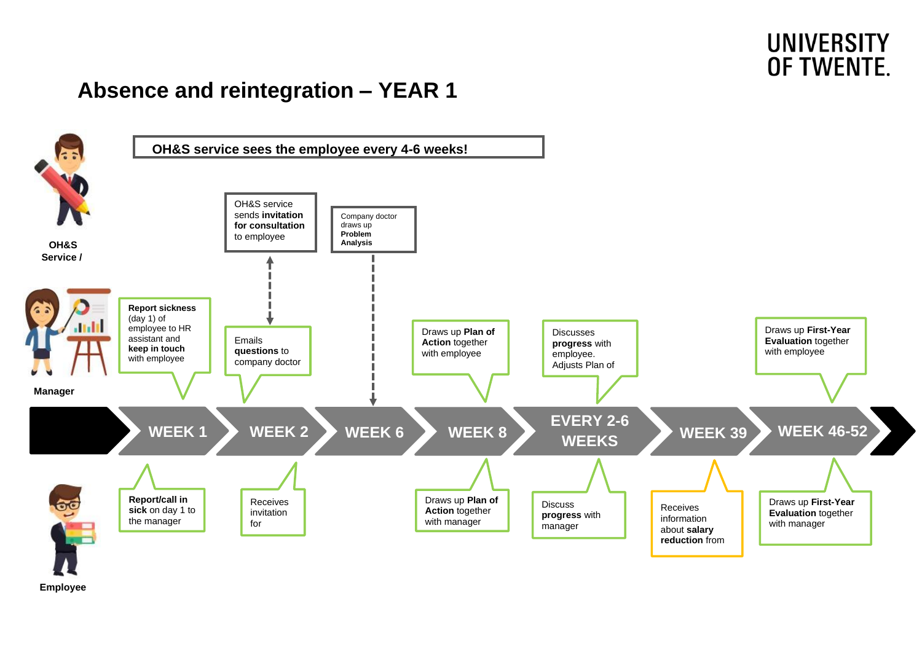## **UNIVERSITY** OF TWENTE.

## **Absence and reintegration – YEAR 1**



**Employee**